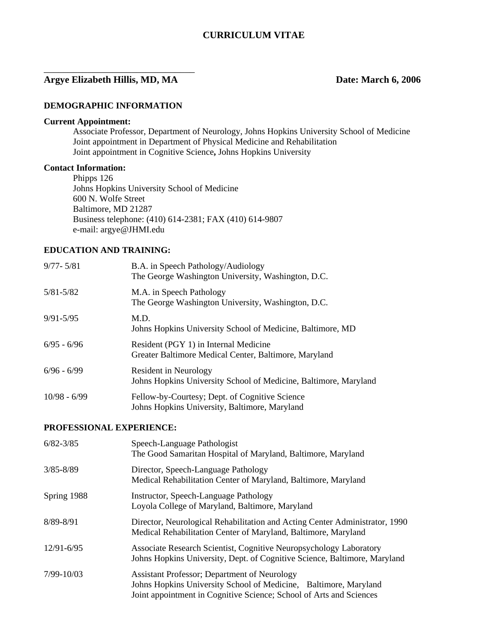# **Argye Elizabeth Hillis, MD, MA Date: March 6, 2006**

\_\_\_\_\_\_\_\_\_\_\_\_\_\_\_\_\_\_\_\_\_\_\_\_\_\_\_\_\_\_\_

#### **DEMOGRAPHIC INFORMATION**

#### **Current Appointment:**

 Associate Professor, Department of Neurology, Johns Hopkins University School of Medicine Joint appointment in Department of Physical Medicine and Rehabilitation Joint appointment in Cognitive Science**,** Johns Hopkins University

#### **Contact Information:**

 Phipps 126 Johns Hopkins University School of Medicine 600 N. Wolfe Street Baltimore, MD 21287 Business telephone: (410) 614-2381; FAX (410) 614-9807 e-mail: argye@JHMI.edu

## **EDUCATION AND TRAINING:**

| $9/77 - 5/81$  | B.A. in Speech Pathology/Audiology<br>The George Washington University, Washington, D.C.        |
|----------------|-------------------------------------------------------------------------------------------------|
| $5/81 - 5/82$  | M.A. in Speech Pathology<br>The George Washington University, Washington, D.C.                  |
| $9/91 - 5/95$  | M.D.<br>Johns Hopkins University School of Medicine, Baltimore, MD                              |
| $6/95 - 6/96$  | Resident (PGY 1) in Internal Medicine<br>Greater Baltimore Medical Center, Baltimore, Maryland  |
| $6/96 - 6/99$  | Resident in Neurology<br>Johns Hopkins University School of Medicine, Baltimore, Maryland       |
| $10/98 - 6/99$ | Fellow-by-Courtesy; Dept. of Cognitive Science<br>Johns Hopkins University, Baltimore, Maryland |

#### **PROFESSIONAL EXPERIENCE:**

| $6/82 - 3/85$  | Speech-Language Pathologist<br>The Good Samaritan Hospital of Maryland, Baltimore, Maryland                                                                                                     |
|----------------|-------------------------------------------------------------------------------------------------------------------------------------------------------------------------------------------------|
| $3/85 - 8/89$  | Director, Speech-Language Pathology<br>Medical Rehabilitation Center of Maryland, Baltimore, Maryland                                                                                           |
| Spring 1988    | Instructor, Speech-Language Pathology<br>Loyola College of Maryland, Baltimore, Maryland                                                                                                        |
| 8/89-8/91      | Director, Neurological Rehabilitation and Acting Center Administrator, 1990<br>Medical Rehabilitation Center of Maryland, Baltimore, Maryland                                                   |
| $12/91 - 6/95$ | Associate Research Scientist, Cognitive Neuropsychology Laboratory<br>Johns Hopkins University, Dept. of Cognitive Science, Baltimore, Maryland                                                 |
| 7/99-10/03     | <b>Assistant Professor</b> ; Department of Neurology<br>Johns Hopkins University School of Medicine, Baltimore, Maryland<br>Joint appointment in Cognitive Science; School of Arts and Sciences |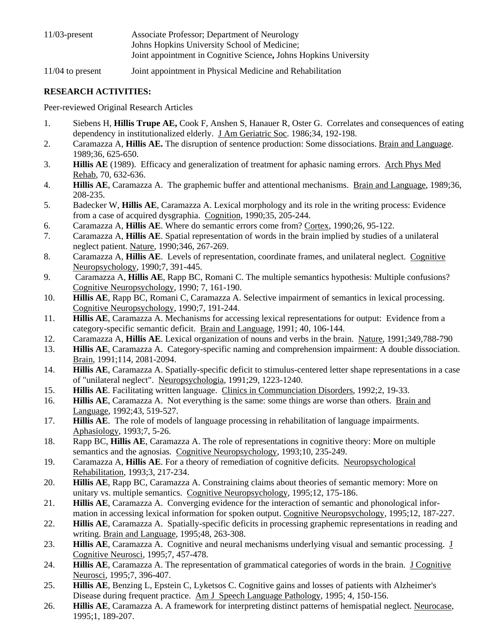| $11/03$ -present | Associate Professor; Department of Neurology                     |
|------------------|------------------------------------------------------------------|
|                  | Johns Hopkins University School of Medicine;                     |
|                  | Joint appointment in Cognitive Science, Johns Hopkins University |

11/04 to present Joint appointment in Physical Medicine and Rehabilitation

# **RESEARCH ACTIVITIES:**

Peer-reviewed Original Research Articles

- 1. Siebens H, **Hillis Trupe AE,** Cook F, Anshen S, Hanauer R, Oster G. Correlates and consequences of eating dependency in institutionalized elderly. J Am Geriatric Soc. 1986;34, 192-198.
- 2. Caramazza A, **Hillis AE.** The disruption of sentence production: Some dissociations. Brain and Language. 1989;36, 625-650.
- 3. **Hillis AE** (1989). Efficacy and generalization of treatment for aphasic naming errors. Arch Phys Med Rehab, 70, 632-636.
- 4. **Hillis AE**, Caramazza A. The graphemic buffer and attentional mechanisms. Brain and Language, 1989;36, 208-235.
- 5. Badecker W, **Hillis AE**, Caramazza A. Lexical morphology and its role in the writing process: Evidence from a case of acquired dysgraphia. Cognition, 1990;35, 205-244.
- 6. Caramazza A, **Hillis AE**. Where do semantic errors come from? Cortex, 1990;26, 95-122.
- 7. Caramazza A, **Hillis AE**. Spatial representation of words in the brain implied by studies of a unilateral neglect patient. Nature, 1990;346, 267-269.
- 8. Caramazza A, **Hillis AE**. Levels of representation, coordinate frames, and unilateral neglect. Cognitive Neuropsychology, 1990;7, 391-445.
- 9. Caramazza A, **Hillis AE**, Rapp BC, Romani C. The multiple semantics hypothesis: Multiple confusions? Cognitive Neuropsychology, 1990; 7, 161-190.
- 10. **Hillis AE**, Rapp BC, Romani C, Caramazza A. Selective impairment of semantics in lexical processing. Cognitive Neuropsychology, 1990;7, 191-244.
- 11. **Hillis AE**, Caramazza A. Mechanisms for accessing lexical representations for output: Evidence from a category-specific semantic deficit. Brain and Language, 1991; 40, 106-144.
- 12. Caramazza A, **Hillis AE**. Lexical organization of nouns and verbs in the brain. Nature, 1991;349,788-790
- 13. **Hillis AE**, Caramazza A. Category-specific naming and comprehension impairment: A double dissociation. Brain, 1991;114, 2081-2094.
- 14. **Hillis AE**, Caramazza A. Spatially-specific deficit to stimulus-centered letter shape representations in a case of "unilateral neglect". Neuropsychologia, 1991;29, 1223-1240.
- 15. **Hillis AE**. Facilitating written language. Clinics in Communciation Disorders, 1992;2, 19-33.
- 16. **Hillis AE**, Caramazza A. Not everything is the same: some things are worse than others. Brain and Language, 1992;43, 519-527.
- 17. **Hillis AE**. The role of models of language processing in rehabilitation of language impairments. Aphasiology, 1993;7, 5-26.
- 18. Rapp BC, **Hillis AE**, Caramazza A. The role of representations in cognitive theory: More on multiple semantics and the agnosias. Cognitive Neuropsychology, 1993;10, 235-249.
- 19. Caramazza A, **Hillis AE**. For a theory of remediation of cognitive deficits. Neuropsychological Rehabilitation, 1993;3, 217-234.
- 20. **Hillis AE**, Rapp BC, Caramazza A. Constraining claims about theories of semantic memory: More on unitary vs. multiple semantics. Cognitive Neuropsychology, 1995;12, 175-186.
- 21. **Hillis AE**, Caramazza A. Converging evidence for the interaction of semantic and phonological information in accessing lexical information for spoken output. Cognitive Neuropsychology, 1995;12, 187-227.
- 22. **Hillis AE**, Caramazza A. Spatially-specific deficits in processing graphemic representations in reading and writing. Brain and Language, 1995;48, 263-308.
- 23. **Hillis AE**, Caramazza A. Cognitive and neural mechanisms underlying visual and semantic processing. J Cognitive Neurosci, 1995;7, 457-478.
- 24. **Hillis AE**, Caramazza A. The representation of grammatical categories of words in the brain. J Cognitive Neurosci, 1995;7, 396-407.
- 25. **Hillis AE**, Benzing L, Epstein C, Lyketsos C. Cognitive gains and losses of patients with Alzheimer's Disease during frequent practice. Am J Speech Language Pathology, 1995; 4, 150-156.
- 26. **Hillis AE**, Caramazza A. A framework for interpreting distinct patterns of hemispatial neglect. Neurocase, 1995;1, 189-207.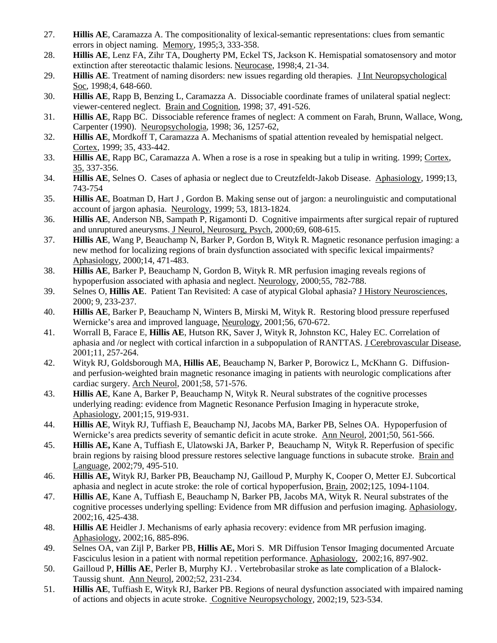- 27. **Hillis AE**, Caramazza A. The compositionality of lexical-semantic representations: clues from semantic errors in object naming. Memory, 1995;3, 333-358.
- 28. **Hillis AE**, Lenz FA, Zihr TA, Dougherty PM, Eckel TS, Jackson K. Hemispatial somatosensory and motor extinction after stereotactic thalamic lesions. Neurocase, 1998;4, 21-34.
- 29. **Hillis AE**. Treatment of naming disorders: new issues regarding old therapies. J Int Neuropsychological Soc, 1998;4, 648-660.
- 30. **Hillis AE**, Rapp B, Benzing L, Caramazza A. Dissociable coordinate frames of unilateral spatial neglect: viewer-centered neglect. Brain and Cognition, 1998; 37, 491-526.
- 31. **Hillis AE**, Rapp BC. Dissociable reference frames of neglect: A comment on Farah, Brunn, Wallace, Wong, Carpenter (1990). Neuropsychologia, 1998; 36, 1257-62,
- 32. **Hillis AE**, Mordkoff T, Caramazza A. Mechanisms of spatial attention revealed by hemispatial nelgect. Cortex, 1999; 35, 433-442.
- 33. **Hillis AE**, Rapp BC, Caramazza A. When a rose is a rose in speaking but a tulip in writing. 1999; Cortex, 35, 337-356.
- 34. **Hillis AE**, Selnes O. Cases of aphasia or neglect due to Creutzfeldt-Jakob Disease. Aphasiology, 1999;13, 743-754
- 35. **Hillis AE**, Boatman D, Hart J , Gordon B. Making sense out of jargon: a neurolinguistic and computational account of jargon aphasia. Neurology, 1999; 53, 1813-1824.
- 36. **Hillis AE**, Anderson NB, Sampath P, Rigamonti D. Cognitive impairments after surgical repair of ruptured and unruptured aneurysms. J Neurol, Neurosurg, Psych, 2000:69, 608-615.
- 37. **Hillis AE**, Wang P, Beauchamp N, Barker P, Gordon B, Wityk R. Magnetic resonance perfusion imaging: a new method for localizing regions of brain dysfunction associated with specific lexical impairments? Aphasiology, 2000;14, 471-483.
- 38. **Hillis AE**, Barker P, Beauchamp N, Gordon B, Wityk R. MR perfusion imaging reveals regions of hypoperfusion associated with aphasia and neglect. Neurology, 2000;55, 782-788.
- 39. Selnes O, **Hillis AE**. Patient Tan Revisited: A case of atypical Global aphasia? J History Neurosciences, 2000; 9, 233-237.
- 40. **Hillis AE**, Barker P, Beauchamp N, Winters B, Mirski M, Wityk R. Restoring blood pressure reperfused Wernicke's area and improved language, Neurology, 2001;56, 670-672.
- 41. Worrall B, Farace E, **Hillis AE**, Hutson RK, Saver J, Wityk R, Johnston KC, Haley EC. Correlation of aphasia and /or neglect with cortical infarction in a subpopulation of RANTTAS. J Cerebrovascular Disease, 2001;11, 257-264.
- 42. Wityk RJ, Goldsborough MA, **Hillis AE**, Beauchamp N, Barker P, Borowicz L, McKhann G. Diffusionand perfusion-weighted brain magnetic resonance imaging in patients with neurologic complications after cardiac surgery. Arch Neurol, 2001;58, 571-576.
- 43. **Hillis AE**, Kane A, Barker P, Beauchamp N, Wityk R. Neural substrates of the cognitive processes underlying reading: evidence from Magnetic Resonance Perfusion Imaging in hyperacute stroke, Aphasiology, 2001;15, 919-931.
- 44. **Hillis AE**, Wityk RJ, Tuffiash E, Beauchamp NJ, Jacobs MA, Barker PB, Selnes OA. Hypoperfusion of Wernicke's area predicts severity of semantic deficit in acute stroke. Ann Neurol, 2001;50, 561-566.
- 45. **Hillis AE,** Kane A, Tuffiash E, Ulatowski JA, Barker P, Beauchamp N, Wityk R. Reperfusion of specific brain regions by raising blood pressure restores selective language functions in subacute stroke. Brain and Language, 2002;79, 495-510.
- 46. **Hillis AE,** Wityk RJ, Barker PB, Beauchamp NJ, Gailloud P, Murphy K, Cooper O, Metter EJ. Subcortical aphasia and neglect in acute stroke: the role of cortical hypoperfusion, Brain, 2002;125, 1094-1104.
- 47. **Hillis AE**, Kane A, Tuffiash E, Beauchamp N, Barker PB, Jacobs MA, Wityk R. Neural substrates of the cognitive processes underlying spelling: Evidence from MR diffusion and perfusion imaging. Aphasiology, 2002;16, 425-438.
- 48. **Hillis AE** Heidler J. Mechanisms of early aphasia recovery: evidence from MR perfusion imaging. Aphasiology, 2002;16, 885-896.
- 49. Selnes OA, van Zijl P, Barker PB, **Hillis AE,** Mori S. MR Diffusion Tensor Imaging documented Arcuate Fasciculus lesion in a patient with normal repetition performance. Aphasiology, 2002;16, 897-902.
- 50. Gailloud P, **Hillis AE**, Perler B, Murphy KJ. . Vertebrobasilar stroke as late complication of a Blalock-Taussig shunt. Ann Neurol, 2002;52, 231-234.
- 51. **Hillis AE**, Tuffiash E, Wityk RJ, Barker PB. Regions of neural dysfunction associated with impaired naming of actions and objects in acute stroke. Cognitive Neuropsychology, 2002;19, 523-534.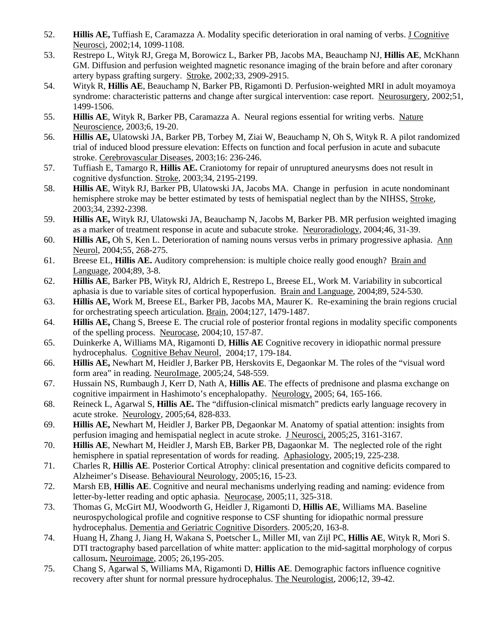- 52. **Hillis AE,** Tuffiash E, Caramazza A. Modality specific deterioration in oral naming of verbs. J Cognitive Neurosci, 2002;14, 1099-1108.
- 53. Restrepo L, Wityk RJ, Grega M, Borowicz L, Barker PB, Jacobs MA, Beauchamp NJ, **Hillis AE**, McKhann GM. Diffusion and perfusion weighted magnetic resonance imaging of the brain before and after coronary artery bypass grafting surgery. Stroke, 2002;33, 2909-2915.
- 54. Wityk R, **Hillis AE**, Beauchamp N, Barker PB, Rigamonti D. Perfusion-weighted MRI in adult moyamoya syndrome: characteristic patterns and change after surgical intervention: case report. Neurosurgery, 2002;51, 1499-1506.
- 55. **Hillis AE**, Wityk R, Barker PB, Caramazza A. Neural regions essential for writing verbs. Nature Neuroscience, 2003;6, 19-20.
- 56. **Hillis AE,** Ulatowski JA, Barker PB, Torbey M, Ziai W, Beauchamp N, Oh S, Wityk R. A pilot randomized trial of induced blood pressure elevation: Effects on function and focal perfusion in acute and subacute stroke. Cerebrovascular Diseases, 2003;16: 236-246.
- 57. Tuffiash E, Tamargo R, **Hillis AE.** Craniotomy for repair of unruptured aneurysms does not result in cognitive dysfunction. Stroke, 2003;34, 2195-2199.
- 58. **Hillis AE**, Wityk RJ, Barker PB, Ulatowski JA, Jacobs MA. Change in perfusion in acute nondominant hemisphere stroke may be better estimated by tests of hemispatial neglect than by the NIHSS, Stroke, 2003;34, 2392-2398.
- 59. **Hillis AE,** Wityk RJ, Ulatowski JA, Beauchamp N, Jacobs M, Barker PB. MR perfusion weighted imaging as a marker of treatment response in acute and subacute stroke. Neuroradiology, 2004;46, 31-39.
- 60. **Hillis AE,** Oh S, Ken L. Deterioration of naming nouns versus verbs in primary progressive aphasia. Ann Neurol, 2004;55, 268-275.
- 61. Breese EL, **Hillis AE.** Auditory comprehension: is multiple choice really good enough? Brain and Language, 2004;89, 3-8.
- 62. **Hillis AE**, Barker PB, Wityk RJ, Aldrich E, Restrepo L, Breese EL, Work M. Variability in subcortical aphasia is due to variable sites of cortical hypoperfusion. Brain and Language, 2004;89, 524-530.
- 63. **Hillis AE,** Work M, Breese EL, Barker PB, Jacobs MA, Maurer K. Re-examining the brain regions crucial for orchestrating speech articulation. Brain, 2004;127, 1479-1487.
- 64. **Hillis AE,** Chang S, Breese E. The crucial role of posterior frontal regions in modality specific components of the spelling process. Neurocase, 2004;10, 157-87.
- 65. Duinkerke A, Williams MA, Rigamonti D, **Hillis AE** Cognitive recovery in idiopathic normal pressure hydrocephalus. Cognitive Behav Neurol, 2004;17, 179-184.
- 66. **Hillis AE,** Newhart M, Heidler J,Barker PB, Herskovits E, Degaonkar M. The roles of the "visual word form area" in reading. NeuroImage, 2005;24, 548-559.
- 67. Hussain NS, Rumbaugh J, Kerr D, Nath A, **Hillis AE**. The effects of prednisone and plasma exchange on cognitive impairment in Hashimoto's encephalopathy. Neurology, 2005; 64, 165-166.
- 68. Reineck L, Agarwal S, **Hillis AE.** The "diffusion-clinical mismatch" predicts early language recovery in acute stroke. Neurology, 2005;64, 828-833.
- 69. **Hillis AE,** Newhart M, Heidler J, Barker PB, Degaonkar M. Anatomy of spatial attention: insights from perfusion imaging and hemispatial neglect in acute stroke. J Neurosci, 2005;25, 3161-3167.
- 70. **Hillis AE**, Newhart M, Heidler J, Marsh EB, Barker PB, Dagaonkar M. The neglected role of the right hemisphere in spatial representation of words for reading. Aphasiology, 2005;19, 225-238.
- 71. Charles R, **Hillis AE**. Posterior Cortical Atrophy: clinical presentation and cognitive deficits compared to Alzheimer's Disease. Behavioural Neurology, 2005;16, 15-23.
- 72. Marsh EB, **Hillis AE**. Cognitive and neural mechanisms underlying reading and naming: evidence from letter-by-letter reading and optic aphasia. Neurocase, 2005;11, 325-318.
- 73. Thomas G, McGirt MJ, Woodworth G, Heidler J, Rigamonti D, **Hillis AE**, Williams MA. Baseline neurospychological profile and cognitive response to CSF shunting for idiopathic normal pressure hydrocephalus. Dementia and Geriatric Cognitive Disorders. 2005;20, 163-8.
- 74. Huang H, Zhang J, Jiang H, Wakana S, Poetscher L, Miller MI, van Zijl PC, **Hillis AE**, Wityk R, Mori S. DTI tractography based parcellation of white matter: application to the mid-sagittal morphology of corpus callosum**.** Neuroimage, 2005; 26,195-205.
- 75. Chang S, Agarwal S, Williams MA, Rigamonti D, **Hillis AE**. Demographic factors influence cognitive recovery after shunt for normal pressure hydrocephalus. The Neurologist, 2006;12, 39-42.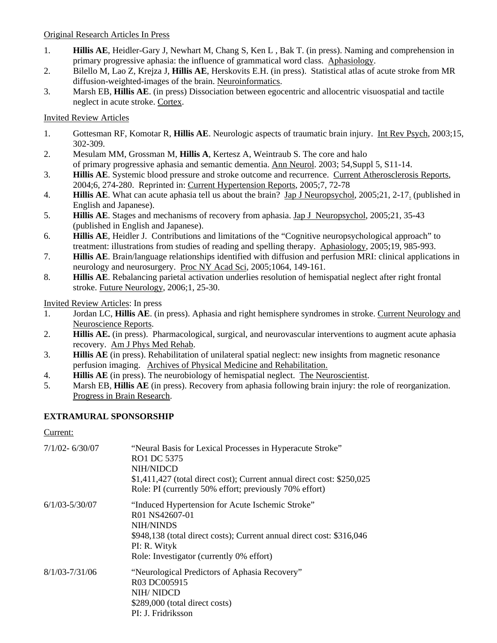## Original Research Articles In Press

- 1. **Hillis AE**, Heidler-Gary J, Newhart M, Chang S, Ken L , Bak T. (in press). Naming and comprehension in primary progressive aphasia: the influence of grammatical word class. Aphasiology.
- 2. Bilello M, Lao Z, Krejza J, **Hillis AE**, Herskovits E.H. (in press). Statistical atlas of acute stroke from MR diffusion-weighted-images of the brain. Neuroinformatics.
- 3. Marsh EB, **Hillis AE**. (in press) Dissociation between egocentric and allocentric visuospatial and tactile neglect in acute stroke. Cortex.

## Invited Review Articles

- 1. Gottesman RF, Komotar R, **Hillis AE**. Neurologic aspects of traumatic brain injury. Int Rev Psych, 2003;15, 302-309.
- 2. Mesulam MM, Grossman M, **Hillis A**, Kertesz A, Weintraub S. The core and halo of primary progressive aphasia and semantic dementia. Ann Neurol. 2003; 54,Suppl 5, S11-14.
- 3. **Hillis AE**. Systemic blood pressure and stroke outcome and recurrence. Current Atherosclerosis Reports, 2004;6, 274-280. Reprinted in: Current Hypertension Reports, 2005;7, 72-78
- 4. **Hillis AE**. What can acute aphasia tell us about the brain? Jap J Neuropsychol, 2005;21, 2-17. (published in English and Japanese).
- 5. **Hillis AE**. Stages and mechanisms of recovery from aphasia. Jap J Neuropsychol, 2005;21, 35-43 (published in English and Japanese).
- 6. **Hillis AE**, Heidler J. Contributions and limitations of the "Cognitive neuropsychological approach" to treatment: illustrations from studies of reading and spelling therapy. Aphasiology, 2005;19, 985-993.
- 7. **Hillis AE**. Brain/language relationships identified with diffusion and perfusion MRI: clinical applications in neurology and neurosurgery. Proc NY Acad Sci, 2005;1064, 149-161.
- 8. **Hillis AE**. Rebalancing parietal activation underlies resolution of hemispatial neglect after right frontal stroke. Future Neurology, 2006;1, 25-30.

Invited Review Articles: In press

- 1. Jordan LC, **Hillis AE**. (in press). Aphasia and right hemisphere syndromes in stroke. Current Neurology and Neuroscience Reports.
- 2. **Hillis AE.** (in press). Pharmacological, surgical, and neurovascular interventions to augment acute aphasia recovery. Am J Phys Med Rehab.
- 3. **Hillis AE** (in press). Rehabilitation of unilateral spatial neglect: new insights from magnetic resonance perfusion imaging. Archives of Physical Medicine and Rehabilitation.
- 4. **Hillis AE** (in press). The neurobiology of hemispatial neglect. The Neuroscientist.
- 5. Marsh EB, **Hillis AE** (in press). Recovery from aphasia following brain injury: the role of reorganization. Progress in Brain Research.

## **EXTRAMURAL SPONSORSHIP**

#### Current:

| 7/1/02- 6/30/07 | "Neural Basis for Lexical Processes in Hyperacute Stroke"<br>RO1 DC 5375<br>NIH/NIDCD<br>$$1,411,427$ (total direct cost); Current annual direct cost: $$250,025$<br>Role: PI (currently 50% effort; previously 70% effort)             |
|-----------------|-----------------------------------------------------------------------------------------------------------------------------------------------------------------------------------------------------------------------------------------|
| 6/1/03-5/30/07  | "Induced Hypertension for Acute Ischemic Stroke"<br>R <sub>01</sub> NS42607-01<br><b>NIH/NINDS</b><br>\$948,138 (total direct costs); Current annual direct cost: \$316,046<br>PI: R. Wityk<br>Role: Investigator (currently 0% effort) |
| 8/1/03-7/31/06  | "Neurological Predictors of Aphasia Recovery"<br>R03 DC005915<br>NIH/NIDCD<br>\$289,000 (total direct costs)<br>PI: J. Fridriksson                                                                                                      |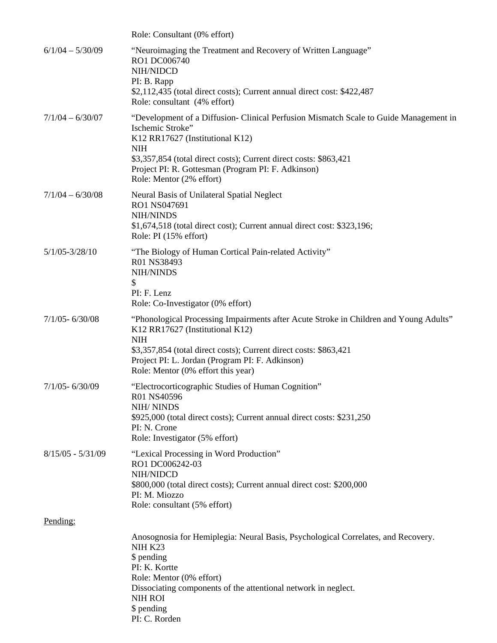|                     | Role: Consultant (0% effort)                                                                                                                                                                                                                                                                                      |
|---------------------|-------------------------------------------------------------------------------------------------------------------------------------------------------------------------------------------------------------------------------------------------------------------------------------------------------------------|
| $6/1/04 - 5/30/09$  | "Neuroimaging the Treatment and Recovery of Written Language"<br>RO1 DC006740<br>NIH/NIDCD<br>PI: B. Rapp<br>\$2,112,435 (total direct costs); Current annual direct cost: \$422,487<br>Role: consultant (4% effort)                                                                                              |
| $7/1/04 - 6/30/07$  | "Development of a Diffusion- Clinical Perfusion Mismatch Scale to Guide Management in<br>Ischemic Stroke"<br>K12 RR17627 (Institutional K12)<br><b>NIH</b><br>\$3,357,854 (total direct costs); Current direct costs: \$863,421<br>Project PI: R. Gottesman (Program PI: F. Adkinson)<br>Role: Mentor (2% effort) |
| $7/1/04 - 6/30/08$  | Neural Basis of Unilateral Spatial Neglect<br>RO1 NS047691<br>NIH/NINDS<br>\$1,674,518 (total direct cost); Current annual direct cost: \$323,196;<br>Role: PI (15% effort)                                                                                                                                       |
| $5/1/05 - 3/28/10$  | "The Biology of Human Cortical Pain-related Activity"<br>R01 NS38493<br>NIH/NINDS<br>\$<br>PI: F. Lenz<br>Role: Co-Investigator (0% effort)                                                                                                                                                                       |
| $7/1/05 - 6/30/08$  | "Phonological Processing Impairments after Acute Stroke in Children and Young Adults"<br>K12 RR17627 (Institutional K12)<br><b>NIH</b><br>\$3,357,854 (total direct costs); Current direct costs: \$863,421<br>Project PI: L. Jordan (Program PI: F. Adkinson)<br>Role: Mentor (0% effort this year)              |
| $7/1/05 - 6/30/09$  | "Electrocorticographic Studies of Human Cognition"<br>R01 NS40596<br>NIH/NINDS<br>\$925,000 (total direct costs); Current annual direct costs: \$231,250<br>PI: N. Crone<br>Role: Investigator (5% effort)                                                                                                        |
| $8/15/05 - 5/31/09$ | "Lexical Processing in Word Production"<br>RO1 DC006242-03<br>NIH/NIDCD<br>\$800,000 (total direct costs); Current annual direct cost: \$200,000<br>PI: M. Miozzo<br>Role: consultant (5% effort)                                                                                                                 |
| Pending:            |                                                                                                                                                                                                                                                                                                                   |
|                     | Anosognosia for Hemiplegia: Neural Basis, Psychological Correlates, and Recovery.<br>NIH K23<br>\$ pending<br>PI: K. Kortte<br>Role: Mentor (0% effort)<br>Dissociating components of the attentional network in neglect.<br><b>NIH ROI</b><br>\$ pending<br>PI: C. Rorden                                        |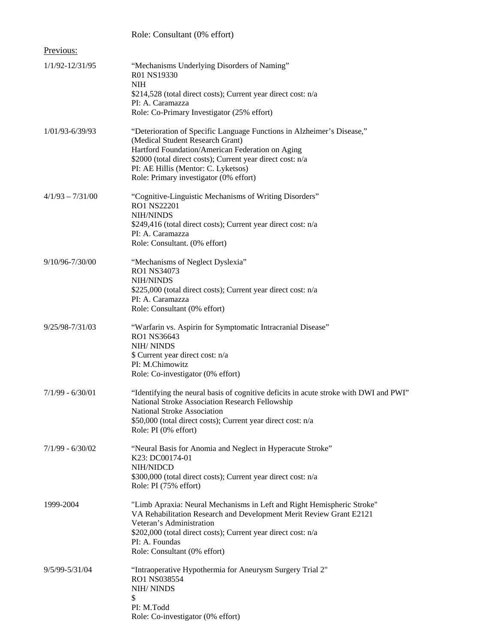|                     | Role: Consultant (0% effort)                                                                                                                                                                                                                                                                                  |
|---------------------|---------------------------------------------------------------------------------------------------------------------------------------------------------------------------------------------------------------------------------------------------------------------------------------------------------------|
| Previous:           |                                                                                                                                                                                                                                                                                                               |
| 1/1/92-12/31/95     | "Mechanisms Underlying Disorders of Naming"<br>R01 NS19330<br><b>NIH</b><br>\$214,528 (total direct costs); Current year direct cost: n/a<br>PI: A. Caramazza<br>Role: Co-Primary Investigator (25% effort)                                                                                                   |
| $1/01/93 - 6/39/93$ | "Deterioration of Specific Language Functions in Alzheimer's Disease,"<br>(Medical Student Research Grant)<br>Hartford Foundation/American Federation on Aging<br>\$2000 (total direct costs); Current year direct cost: n/a<br>PI: AE Hillis (Mentor: C. Lyketsos)<br>Role: Primary investigator (0% effort) |
| $4/1/93 - 7/31/00$  | "Cognitive-Linguistic Mechanisms of Writing Disorders"<br><b>RO1 NS22201</b><br><b>NIH/NINDS</b><br>\$249,416 (total direct costs); Current year direct cost: n/a<br>PI: A. Caramazza<br>Role: Consultant. (0% effort)                                                                                        |
| 9/10/96-7/30/00     | "Mechanisms of Neglect Dyslexia"<br>RO1 NS34073<br><b>NIH/NINDS</b><br>\$225,000 (total direct costs); Current year direct cost: n/a<br>PI: A. Caramazza<br>Role: Consultant (0% effort)                                                                                                                      |
| 9/25/98-7/31/03     | "Warfarin vs. Aspirin for Symptomatic Intracranial Disease"<br>RO1 NS36643<br>NIH/NINDS<br>\$ Current year direct cost: n/a<br>PI: M.Chimowitz<br>Role: Co-investigator (0% effort)                                                                                                                           |
| $7/1/99 - 6/30/01$  | "Identifying the neural basis of cognitive deficits in acute stroke with DWI and PWI"<br>National Stroke Association Research Fellowship<br>National Stroke Association<br>\$50,000 (total direct costs); Current year direct cost: n/a<br>Role: PI (0% effort)                                               |
| $7/1/99 - 6/30/02$  | "Neural Basis for Anomia and Neglect in Hyperacute Stroke"<br>K23: DC00174-01<br>NIH/NIDCD<br>\$300,000 (total direct costs); Current year direct cost: n/a<br>Role: PI (75% effort)                                                                                                                          |
| 1999-2004           | "Limb Apraxia: Neural Mechanisms in Left and Right Hemispheric Stroke"<br>VA Rehabilitation Research and Development Merit Review Grant E2121<br>Veteran's Administration<br>\$202,000 (total direct costs); Current year direct cost: n/a<br>PI: A. Foundas<br>Role: Consultant (0% effort)                  |
| 9/5/99-5/31/04      | "Intraoperative Hypothermia for Aneurysm Surgery Trial 2"<br>RO1 NS038554<br>NIH/NINDS<br>\$<br>PI: M.Todd<br>Role: Co-investigator (0% effort)                                                                                                                                                               |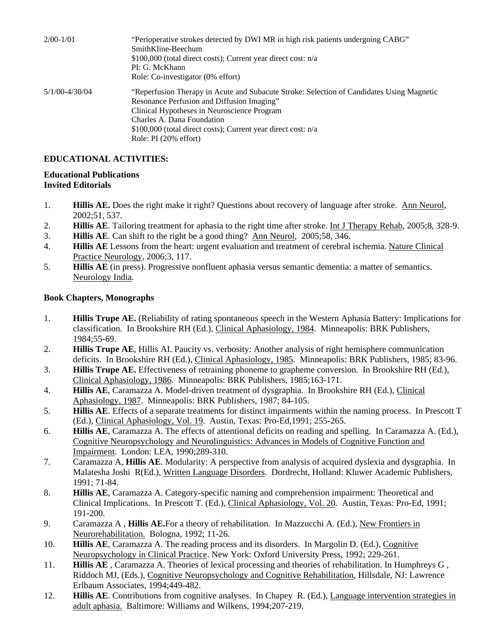| $2/00 - 1/01$  | "Perioperative strokes detected by DWI MR in high risk patients undergoing CABG"<br>SmithKline-Beechum<br>\$100,000 (total direct costs); Current year direct cost: n/a<br>PI: G. McKhann<br>Role: Co-investigator (0% effort)                                                                                   |
|----------------|------------------------------------------------------------------------------------------------------------------------------------------------------------------------------------------------------------------------------------------------------------------------------------------------------------------|
| 5/1/00-4/30/04 | "Reperfusion Therapy in Acute and Subacute Stroke: Selection of Candidates Using Magnetic<br>Resonance Perfusion and Diffusion Imaging"<br>Clinical Hypotheses in Neuroscience Program<br>Charles A. Dana Foundation<br>\$100,000 (total direct costs); Current year direct cost: n/a<br>Role: $PI(20\%$ effort) |

## **EDUCATIONAL ACTIVITIES:**

#### **Educational Publications Invited Editorials**

- 1. **Hillis AE.** Does the right make it right? Questions about recovery of language after stroke. Ann Neurol, 2002;51, 537.
- 2. **Hillis AE**. Tailoring treatment for aphasia to the right time after stroke. Int J Therapy Rehab, 2005;8, 328-9.
- 3. **Hillis AE**. Can shift to the right be a good thing? Ann Neurol, 2005;58, 346.
- 4. **Hillis AE** Lessons from the heart: urgent evaluation and treatment of cerebral ischemia. Nature Clinical Practice Neurology, 2006;3, 117.
- 5. **Hillis AE** (in press). Progressive nonfluent aphasia versus semantic dementia: a matter of semantics. Neurology India*.*

#### **Book Chapters, Monographs**

- 1. **Hillis Trupe AE.** (Reliability of rating spontaneous speech in the Western Aphasia Battery: Implications for classification. In Brookshire RH (Ed.), Clinical Aphasiology, 1984. Minneapolis: BRK Publishers, 1984;55-69.
- 2. **Hillis Trupe AE**, Hillis AI. Paucity vs. verbosity: Another analysis of right hemisphere communication deficits. In Brookshire RH (Ed.), Clinical Aphasiology, 1985. Minneapolis: BRK Publishers, 1985; 83-96.
- 3. **Hillis Trupe AE.** Effectiveness of retraining phoneme to grapheme conversion. In Brookshire RH (Ed.), Clinical Aphasiology, 1986. Minneapolis: BRK Publishers, 1985;163-171.
- 4. **Hillis AE**, Caramazza A. Model-driven treatment of dysgraphia. In Brookshire RH (Ed.), Clinical Aphasiology, 1987. Minneapolis: BRK Publishers, 1987; 84-105.
- 5. **Hillis AE**. Effects of a separate treatments for distinct impairments within the naming process. In Prescott T (Ed.), Clinical Aphasiology, Vol. 19. Austin, Texas: Pro-Ed,1991; 255-265.
- 6. **Hillis AE**, Caramazza A. The effects of attentional deficits on reading and spelling. In Caramazza A. (Ed.), Cognitive Neuropsychology and Neurolinguistics: Advances in Models of Cognitive Function and Impairment. London: LEA, 1990;289-310.
- 7. Caramazza A, **Hillis AE**. Modularity: A perspective from analysis of acquired dyslexia and dysgraphia. In Malatesha Joshi R(Ed.), Written Language Disorders. Dordrecht, Holland: Kluwer Academic Publishers, 1991; 71-84.
- 8. **Hillis AE**, Caramazza A. Category-specific naming and comprehension impairment: Theoretical and Clinical Implications. In Prescott T. (Ed.), Clinical Aphasiology, Vol. 20. Austin, Texas: Pro-Ed, 1991; 191-200.
- 9. Caramazza A , **Hillis AE.**For a theory of rehabilitation. In Mazzucchi A. (Ed.), New Frontiers in Neurorehabilitation. Bologna, 1992; 11-26.
- 10. **Hillis AE**, Caramazza A. The reading process and its disorders. In Margolin D. (Ed.), Cognitive Neuropsychology in Clinical Practice. New York: Oxford University Press, 1992; 229-261.
- 11. **Hillis AE** , Caramazza A. Theories of lexical processing and theories of rehabilitation. In Humphreys G , Riddoch MJ, (Eds.), Cognitive Neuropsychology and Cognitive Rehabilitation, Hillsdale, NJ: Lawrence Erlbaum Associates, 1994;449-482.
- 12. **Hillis AE**. Contributions from cognitive analyses. In Chapey R. (Ed.), Language intervention strategies in adult aphasia. Baltimore: Williams and Wilkens, 1994;207-219.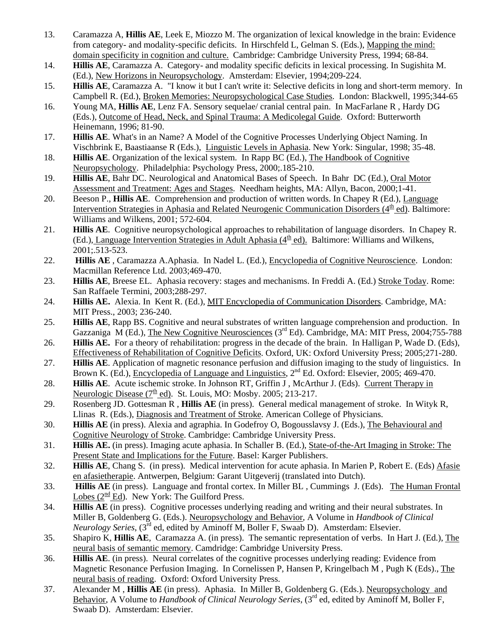- 13. Caramazza A, **Hillis AE**, Leek E, Miozzo M. The organization of lexical knowledge in the brain: Evidence from category- and modality-specific deficits. In Hirschfeld L, Gelman S. (Eds.), Mapping the mind: domain specificity in cognition and culture. Cambridge: Cambridge University Press, 1994; 68-84.
- 14. **Hillis AE**, Caramazza A. Category- and modality specific deficits in lexical processing. In Sugishita M. (Ed.), New Horizons in Neuropsychology. Amsterdam: Elsevier, 1994;209-224.
- 15. **Hillis AE**, Caramazza A. "I know it but I can't write it: Selective deficits in long and short-term memory. In Campbell R. (Ed.), Broken Memories: Neuropsychological Case Studies. London: Blackwell, 1995;344-65
- 16. Young MA, **Hillis AE**, Lenz FA. Sensory sequelae/ cranial central pain. In MacFarlane R , Hardy DG (Eds.), Outcome of Head, Neck, and Spinal Trauma: A Medicolegal Guide. Oxford: Butterworth Heinemann, 1996; 81-90.
- 17. **Hillis AE**. What's in an Name? A Model of the Cognitive Processes Underlying Object Naming. In Vischbrink E, Baastiaanse R (Eds.), Linguistic Levels in Aphasia. New York: Singular, 1998; 35-48.
- 18. **Hillis AE**. Organization of the lexical system. In Rapp BC (Ed.), The Handbook of Cognitive Neuropsychology. Philadelphia: Psychology Press, 2000;.185-210.
- 19. **Hillis AE**, Bahr DC. Neurological and Anatomical Bases of Speech. In Bahr DC (Ed.), Oral Motor Assessment and Treatment: Ages and Stages. Needham heights, MA: Allyn, Bacon, 2000;1-41.
- 20. Beeson P., **Hillis AE**. Comprehension and production of written words. In Chapey R (Ed.), Language Intervention Strategies in Aphasia and Related Neurogenic Communication Disorders  $(4<sup>th</sup>$ ed). Baltimore: Williams and Wilkens, 2001; 572-604.
- 21. **Hillis AE**. Cognitive neuropsychological approaches to rehabilitation of language disorders. In Chapey R. (Ed.), Language Intervention Strategies in Adult Aphasia  $(4<sup>th</sup>$ ed). Baltimore: Williams and Wilkens, 2001;.513-523.
- 22. **Hillis AE**, Caramazza A.Aphasia. In Nadel L. (Ed.), Encyclopedia of Cognitive Neuroscience. London: Macmillan Reference Ltd. 2003;469-470.
- 23. **Hillis AE**, Breese EL. Aphasia recovery: stages and mechanisms. In Freddi A. (Ed.) Stroke Today. Rome: San Raffaele Termini, 2003;288-297.
- 24. **Hillis AE.** Alexia. In Kent R. (Ed.), MIT Encyclopedia of Communication Disorders. Cambridge, MA: MIT Press., 2003; 236-240.
- 25. **Hillis AE**, Rapp BS. Cognitive and neural substrates of written language comprehension and production. In Gazzaniga  $\widehat{M(Ed)}$ , The New Cognitive Neurosciences (3<sup>rd</sup> Ed). Cambridge, MA: MIT Press, 2004;755-788
- 26. **Hillis AE.** For a theory of rehabilitation: progress in the decade of the brain. In Halligan P, Wade D. (Eds), Effectiveness of Rehabilitation of Cognitive Deficits. Oxford, UK: Oxford University Press; 2005;271-280.
- 27. **Hillis AE**. Application of magnetic resonance perfusion and diffusion imaging to the study of linguistics. In Brown K. (Ed.), Encyclopedia of Language and Linguistics, 2<sup>nd</sup> Ed. Oxford: Elsevier, 2005; 469-470.
- 28. **Hillis AE**. Acute ischemic stroke. In Johnson RT, Griffin J , McArthur J. (Eds). Current Therapy in Neurologic Disease  $(7^{\text{th}}$  ed). St. Louis, MO: Mosby. 2005; 213-217.
- 29. Rosenberg JD. Gottesman R , **Hillis AE** (in press). General medical management of stroke. In Wityk R, Llinas R. (Eds.), Diagnosis and Treatment of Stroke. American College of Physicians.
- 30. **Hillis AE** (in press). Alexia and agraphia. In Godefroy O, Bogousslavsy J. (Eds.), The Behavioural and Cognitive Neurology of Stroke. Cambridge: Cambridge University Press.
- 31. **Hillis AE.** (in press). Imaging acute aphasia. In Schaller B. (Ed.), State-of-the-Art Imaging in Stroke: The Present State and Implications for the Future. Basel: Karger Publishers.
- 32. **Hillis AE**, Chang S. (in press). Medical intervention for acute aphasia. In Marien P, Robert E. (Eds) Afasie en afasietherapie. Antwerpen, Belgium: Garant Uitgeverij (translated into Dutch).
- 33. **Hillis AE** (in press). Language and frontal cortex. In Miller BL , Cummings J. (Eds). The Human Frontal Lobes  $(2^{\text{nd}}$  Ed). New York: The Guilford Press.
- 34. **Hillis AE** (in press). Cognitive processes underlying reading and writing and their neural substrates. In Miller B, Goldenberg G. (Eds.). Neuropsychology and Behavior, A Volume in *Handbook of Clinical Neurology Series*, (3<sup>rd</sup> ed, edited by Aminoff M, Boller F, Swaab D). Amsterdam: Elsevier.
- 35. Shapiro K, **Hillis AE**, Caramazza A. (in press). The semantic representation of verbs. In Hart J. (Ed.), The neural basis of semantic memory. Camdridge: Cambridge University Press.
- 36. **Hillis AE**. (in press). Neural correlates of the cognitive processes underlying reading: Evidence from Magnetic Resonance Perfusion Imaging. In Cornelissen P, Hansen P, Kringelbach M , Pugh K (Eds)., The neural basis of reading. Oxford: Oxford University Press.
- 37. Alexander M , **Hillis AE** (in press). Aphasia. In Miller B, Goldenberg G. (Eds.). Neuropsychology and Behavior, A Volume to *Handbook of Clinical Neurology Series*, (3rd ed, edited by Aminoff M, Boller F, Swaab D). Amsterdam: Elsevier.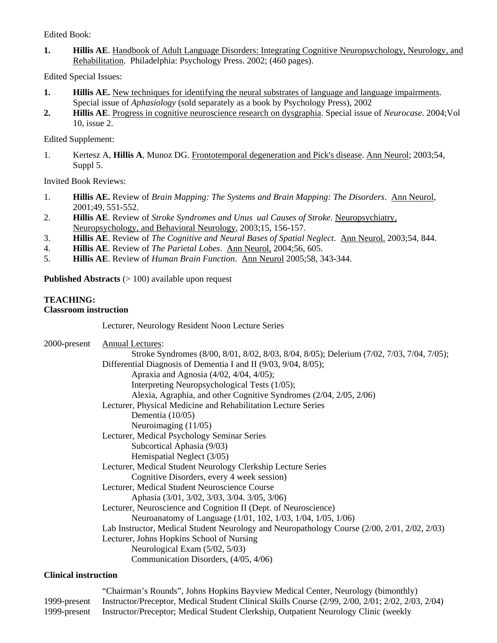Edited Book:

**1. Hillis AE**. Handbook of Adult Language Disorders: Integrating Cognitive Neuropsychology, Neurology, and Rehabilitation. Philadelphia: Psychology Press. 2002; (460 pages).

Edited Special Issues:

- **1. Hillis AE.** New techniques for identifying the neural substrates of language and language impairments. Special issue of *Aphasiology* (sold separately as a book by Psychology Press), 2002
- **2. Hillis AE**. Progress in cognitive neuroscience research on dysgraphia. Special issue of *Neurocase*. 2004;Vol 10, issue 2.

Edited Supplement:

1. Kertesz A, **Hillis A**, Munoz DG. Frontotemporal degeneration and Pick's disease. Ann Neurol; 2003;54, Suppl 5.

Invited Book Reviews:

- 1. **Hillis AE.** Review of *Brain Mapping: The Systems and Brain Mapping: The Disorders*. Ann Neurol, 2001;49, 551-552.
- 2. **Hillis AE**. Review of *Stroke Syndromes and Unus ual Causes of Stroke*. Neuropsychiatry, Neuropsychology, and Behavioral Neurology, 2003;15, 156-157.
- 3. **Hillis AE**. Review of *The Cognitive and Neural Bases of Spatial Neglect*. Ann Neurol. 2003;54, 844.
- 4. **Hillis AE**. Review of *The Parietal Lobes*. Ann Neurol, 2004;56, 605.
- 5. **Hillis AE**. Review of *Human Brain Function*. Ann Neurol 2005;58, 343-344.

**Published Abstracts** (> 100) available upon request

## **TEACHING:**

## **Classroom instruction**

Lecturer, Neurology Resident Noon Lecture Series

| 2000-present | <b>Annual Lectures:</b>                                                                      |
|--------------|----------------------------------------------------------------------------------------------|
|              | Stroke Syndromes (8/00, 8/01, 8/02, 8/03, 8/04, 8/05); Delerium (7/02, 7/03, 7/04, 7/05);    |
|              | Differential Diagnosis of Dementia I and II (9/03, 9/04, 8/05);                              |
|              | Apraxia and Agnosia (4/02, 4/04, 4/05);                                                      |
|              | Interpreting Neuropsychological Tests (1/05);                                                |
|              | Alexia, Agraphia, and other Cognitive Syndromes (2/04, 2/05, 2/06)                           |
|              | Lecturer, Physical Medicine and Rehabilitation Lecture Series                                |
|              | Dementia $(10/05)$                                                                           |
|              | Neuroimaging $(11/05)$                                                                       |
|              | Lecturer, Medical Psychology Seminar Series                                                  |
|              | Subcortical Aphasia (9/03)                                                                   |
|              | Hemispatial Neglect (3/05)                                                                   |
|              | Lecturer, Medical Student Neurology Clerkship Lecture Series                                 |
|              | Cognitive Disorders, every 4 week session)                                                   |
|              | Lecturer, Medical Student Neuroscience Course                                                |
|              | Aphasia (3/01, 3/02, 3/03, 3/04. 3/05, 3/06)                                                 |
|              | Lecturer, Neuroscience and Cognition II (Dept. of Neuroscience)                              |
|              | Neuroanatomy of Language (1/01, 102, 1/03, 1/04, 1/05, 1/06)                                 |
|              | Lab Instructor, Medical Student Neurology and Neuropathology Course (2/00, 2/01, 2/02, 2/03) |
|              | Lecturer, Johns Hopkins School of Nursing                                                    |
|              | Neurological Exam (5/02, 5/03)                                                               |
|              | Communication Disorders, (4/05, 4/06)                                                        |

## **Clinical instruction**

 "Chairman's Rounds", Johns Hopkins Bayview Medical Center, Neurology (bimonthly) 1999-present Instructor/Preceptor, Medical Student Clinical Skills Course (2/99, 2/00, 2/01; 2/02, 2/03, 2/04) 1999-present Instructor/Preceptor; Medical Student Clerkship, Outpatient Neurology Clinic (weekly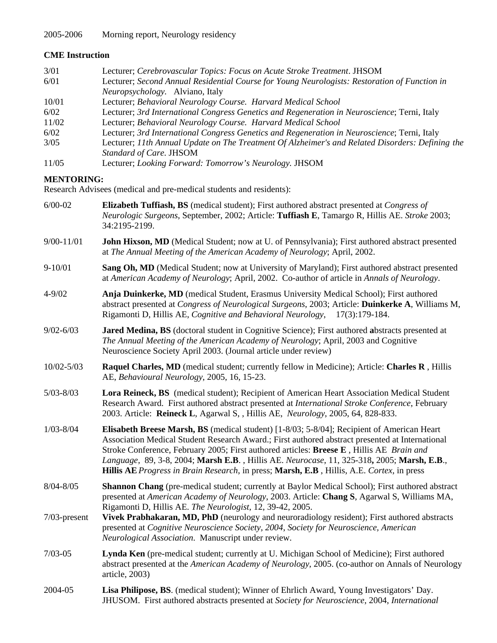# **CME Instruction**

| 3/01  | Lecturer; Cerebrovascular Topics: Focus on Acute Stroke Treatment. JHSOM                         |
|-------|--------------------------------------------------------------------------------------------------|
| 6/01  | Lecturer; Second Annual Residential Course for Young Neurologists: Restoration of Function in    |
|       | <i>Neuropsychology.</i> Alviano, Italy                                                           |
| 10/01 | Lecturer; Behavioral Neurology Course. Harvard Medical School                                    |
| 6/02  | Lecturer; 3rd International Congress Genetics and Regeneration in Neuroscience; Terni, Italy     |
| 11/02 | Lecturer; Behavioral Neurology Course. Harvard Medical School                                    |
| 6/02  | Lecturer; 3rd International Congress Genetics and Regeneration in Neuroscience; Terni, Italy     |
| 3/05  | Lecturer; 11th Annual Update on The Treatment Of Alzheimer's and Related Disorders: Defining the |
|       | Standard of Care. JHSOM                                                                          |
| 11/05 | Lecturer; Looking Forward: Tomorrow's Neurology. JHSOM                                           |

## **MENTORING:**

Research Advisees (medical and pre-medical students and residents):

| $6/00-02$      | <b>Elizabeth Tuffiash, BS</b> (medical student); First authored abstract presented at <i>Congress of</i><br>Neurologic Surgeons, September, 2002; Article: Tuffiash E, Tamargo R, Hillis AE. Stroke 2003;<br>34:2195-2199.                                                                                                                                                                                                                                                            |
|----------------|---------------------------------------------------------------------------------------------------------------------------------------------------------------------------------------------------------------------------------------------------------------------------------------------------------------------------------------------------------------------------------------------------------------------------------------------------------------------------------------|
| $9/00 - 11/01$ | John Hixson, MD (Medical Student; now at U. of Pennsylvania); First authored abstract presented<br>at The Annual Meeting of the American Academy of Neurology; April, 2002.                                                                                                                                                                                                                                                                                                           |
| $9 - 10/01$    | Sang Oh, MD (Medical Student; now at University of Maryland); First authored abstract presented<br>at American Academy of Neurology; April, 2002. Co-author of article in Annals of Neurology.                                                                                                                                                                                                                                                                                        |
| $4 - 9/02$     | Anja Duinkerke, MD (medical Student, Erasmus University Medical School); First authored<br>abstract presented at Congress of Neurological Surgeons, 2003; Article: Duinkerke A, Williams M,<br>Rigamonti D, Hillis AE, Cognitive and Behavioral Neurology,<br>$17(3):179-184.$                                                                                                                                                                                                        |
| $9/02 - 6/03$  | Jared Medina, BS (doctoral student in Cognitive Science); First authored abstracts presented at<br>The Annual Meeting of the American Academy of Neurology; April, 2003 and Cognitive<br>Neuroscience Society April 2003. (Journal article under review)                                                                                                                                                                                                                              |
| 10/02-5/03     | Raquel Charles, MD (medical student; currently fellow in Medicine); Article: Charles R, Hillis<br>AE, Behavioural Neurology, 2005, 16, 15-23.                                                                                                                                                                                                                                                                                                                                         |
| $5/03 - 8/03$  | Lora Reineck, BS (medical student); Recipient of American Heart Association Medical Student<br>Research Award. First authored abstract presented at International Stroke Conference, February<br>2003. Article: Reineck L, Agarwal S, , Hillis AE, Neurology, 2005, 64, 828-833.                                                                                                                                                                                                      |
| $1/03 - 8/04$  | Elisabeth Breese Marsh, BS (medical student) [1-8/03; 5-8/04]; Recipient of American Heart<br>Association Medical Student Research Award.; First authored abstract presented at International<br>Stroke Conference, February 2005; First authored articles: Breese E, Hillis AE Brain and<br>Language, 89, 3-8, 2004; Marsh E.B., Hillis AE. Neurocase, 11, 325-318, 2005; Marsh, E.B.,<br>Hillis AE Progress in Brain Research, in press; Marsh, E.B., Hillis, A.E. Cortex, in press |
| $8/04 - 8/05$  | Shannon Chang (pre-medical student; currently at Baylor Medical School); First authored abstract<br>presented at American Academy of Neurology, 2003. Article: Chang S, Agarwal S, Williams MA,<br>Rigamonti D, Hillis AE. The Neurologist, 12, 39-42, 2005.                                                                                                                                                                                                                          |
| 7/03-present   | Vivek Prabhakaran, MD, PhD (neurology and neuroradiology resident); First authored abstracts<br>presented at Cognitive Neuroscience Society, 2004, Society for Neuroscience, American<br>Neurological Association. Manuscript under review.                                                                                                                                                                                                                                           |
| $7/03 - 05$    | Lynda Ken (pre-medical student; currently at U. Michigan School of Medicine); First authored<br>abstract presented at the American Academy of Neurology, 2005. (co-author on Annals of Neurology<br>article, 2003)                                                                                                                                                                                                                                                                    |
| 2004-05        | Lisa Philipose, BS. (medical student); Winner of Ehrlich Award, Young Investigators' Day.<br>JHUSOM. First authored abstracts presented at Society for Neuroscience, 2004, International                                                                                                                                                                                                                                                                                              |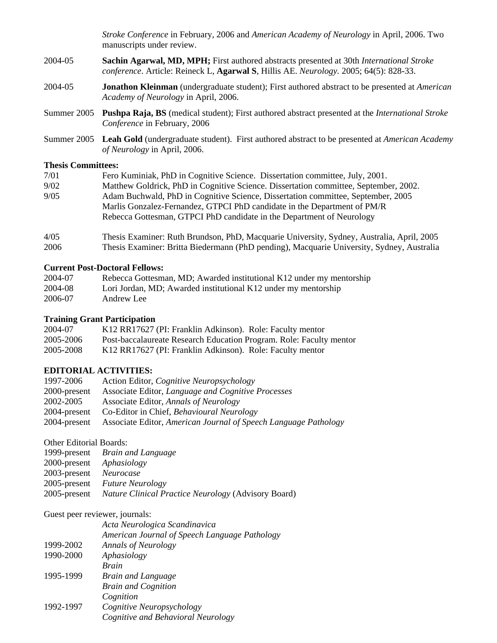*Stroke Conference* in February, 2006 and *American Academy of Neurology* in April, 2006. Two manuscripts under review.

- 2004-05 **Sachin Agarwal, MD, MPH;** First authored abstracts presented at 30th *International Stroke conference*. Article: Reineck L, **Agarwal S**, Hillis AE. *Neurology.* 2005; 64(5): 828-33.
- 2004-05 **Jonathon Kleinman** (undergraduate student); First authored abstract to be presented at *American Academy of Neurology* in April, 2006.
- Summer 2005 **Pushpa Raja, BS** (medical student); First authored abstract presented at the *International Stroke Conference* in February, 2006
- Summer 2005 **Leah Gold** (undergraduate student). First authored abstract to be presented at *American Academy of Neurology* in April, 2006.

#### **Thesis Committees:**

| 7/01 | Fero Kuminiak, PhD in Cognitive Science. Dissertation committee, July, 2001.         |
|------|--------------------------------------------------------------------------------------|
| 9/02 | Matthew Goldrick, PhD in Cognitive Science. Dissertation committee, September, 2002. |
| 9/05 | Adam Buchwald, PhD in Cognitive Science, Dissertation committee, September, 2005     |
|      | Marlis Gonzalez-Fernandez, GTPCI PhD candidate in the Department of PM/R             |
|      | Rebecca Gottesman, GTPCI PhD candidate in the Department of Neurology                |
|      |                                                                                      |

4/05 Thesis Examiner: Ruth Brundson, PhD, Macquarie University, Sydney, Australia, April, 2005 2006 Thesis Examiner: Britta Biedermann (PhD pending), Macquarie University, Sydney, Australia

## **Current Post-Doctoral Fellows:**

| 2004-07 | Rebecca Gottesman, MD; Awarded institutional K12 under my mentorship |
|---------|----------------------------------------------------------------------|
| 2004-08 | Lori Jordan, MD; Awarded institutional K12 under my mentorship       |
| 2006-07 | Andrew Lee                                                           |

#### **Training Grant Participation**

| 2004-07   | K12 RR17627 (PI: Franklin Adkinson). Role: Faculty mentor           |
|-----------|---------------------------------------------------------------------|
| 2005-2006 | Post-baccalaureate Research Education Program. Role: Faculty mentor |
| 2005-2008 | K12 RR17627 (PI: Franklin Adkinson). Role: Faculty mentor           |

#### **EDITORIAL ACTIVITIES:**

| Action Editor, <i>Cognitive Neuropsychology</i>                 |
|-----------------------------------------------------------------|
| Associate Editor, Language and Cognitive Processes              |
| Associate Editor, Annals of Neurology                           |
| Co-Editor in Chief, <i>Behavioural Neurology</i>                |
| Associate Editor, American Journal of Speech Language Pathology |
|                                                                 |

## Other Editorial Boards:

| 2000-present <i>Aphasiology</i> | 1999-present Brain and Language                                  |
|---------------------------------|------------------------------------------------------------------|
| 2003-present Neurocase          | 2005-present Future Neurology                                    |
|                                 | 2005-present Nature Clinical Practice Neurology (Advisory Board) |

#### Guest peer reviewer, journals:

|           | Acta Neurologica Scandinavica                 |
|-----------|-----------------------------------------------|
|           | American Journal of Speech Language Pathology |
| 1999-2002 | <b>Annals of Neurology</b>                    |
| 1990-2000 | Aphasiology                                   |
|           | <b>Brain</b>                                  |
| 1995-1999 | <b>Brain and Language</b>                     |
|           | <b>Brain and Cognition</b>                    |
|           | Cognition                                     |
| 1992-1997 | Cognitive Neuropsychology                     |
|           | Cognitive and Behavioral Neurology            |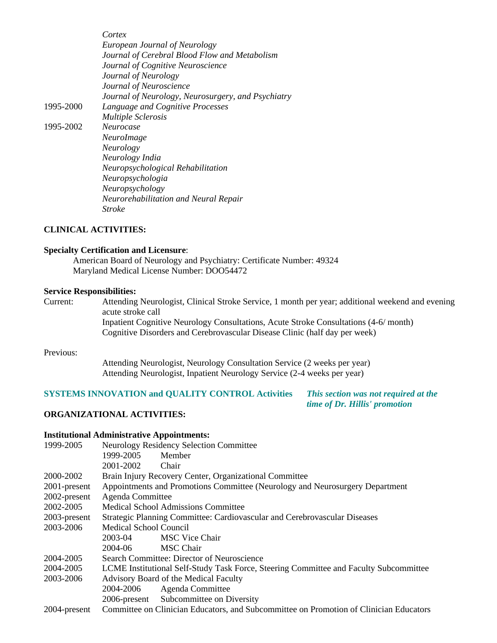*Cortex European Journal of Neurology Journal of Cerebral Blood Flow and Metabolism Journal of Cognitive Neuroscience Journal of Neurology Journal of Neuroscience Journal of Neurology, Neurosurgery, and Psychiatry*  1995-2000 *Language and Cognitive Processes Multiple Sclerosis*  1995-2002 *Neurocase NeuroImage Neurology Neurology India Neuropsychological Rehabilitation Neuropsychologia Neuropsychology Neurorehabilitation and Neural Repair Stroke* 

#### **CLINICAL ACTIVITIES:**

#### **Specialty Certification and Licensure**:

 American Board of Neurology and Psychiatry: Certificate Number: 49324 Maryland Medical License Number: DOO54472

#### **Service Responsibilities:**

Current: Attending Neurologist, Clinical Stroke Service, 1 month per year; additional weekend and evening acute stroke call

 Inpatient Cognitive Neurology Consultations, Acute Stroke Consultations (4-6/ month) Cognitive Disorders and Cerebrovascular Disease Clinic (half day per week)

#### Previous:

 Attending Neurologist, Neurology Consultation Service (2 weeks per year) Attending Neurologist, Inpatient Neurology Service (2-4 weeks per year)

## **SYSTEMS INNOVATION and QUALITY CONTROL Activities** *This section was not required at the*

 *time of Dr. Hillis' promotion*

#### **ORGANIZATIONAL ACTIVITIES:**

#### **Institutional Administrative Appointments:**

| 1999-2005       |                        | <b>Neurology Residency Selection Committee</b>                                         |
|-----------------|------------------------|----------------------------------------------------------------------------------------|
|                 | 1999-2005              | Member                                                                                 |
|                 | 2001-2002              | Chair                                                                                  |
| 2000-2002       |                        | Brain Injury Recovery Center, Organizational Committee                                 |
| $2001$ -present |                        | Appointments and Promotions Committee (Neurology and Neurosurgery Department           |
| 2002-present    | Agenda Committee       |                                                                                        |
| 2002-2005       |                        | <b>Medical School Admissions Committee</b>                                             |
| 2003-present    |                        | Strategic Planning Committee: Cardiovascular and Cerebrovascular Diseases              |
| 2003-2006       | Medical School Council |                                                                                        |
|                 | 2003-04                | <b>MSC Vice Chair</b>                                                                  |
|                 | 2004-06                | <b>MSC Chair</b>                                                                       |
| 2004-2005       |                        | Search Committee: Director of Neuroscience                                             |
| 2004-2005       |                        | LCME Institutional Self-Study Task Force, Steering Committee and Faculty Subcommittee  |
| 2003-2006       |                        | Advisory Board of the Medical Faculty                                                  |
|                 | 2004-2006              | Agenda Committee                                                                       |
|                 |                        | 2006-present Subcommittee on Diversity                                                 |
| 2004-present    |                        | Committee on Clinician Educators, and Subcommittee on Promotion of Clinician Educators |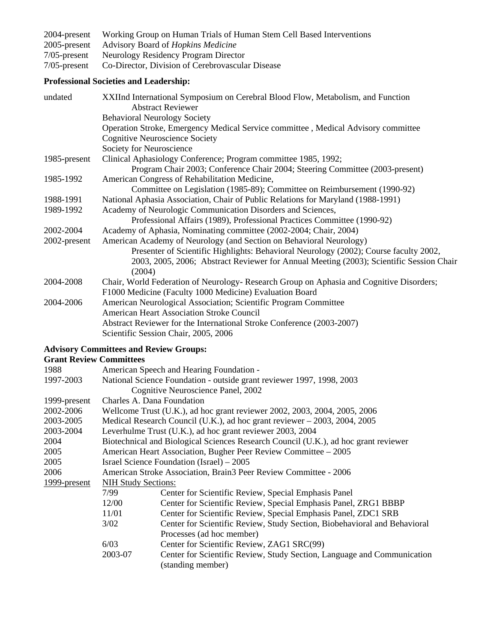2004-present Working Group on Human Trials of Human Stem Cell Based Interventions<br>2005-present Advisory Board of Hopkins Medicine 2005-present Advisory Board of *Hopkins Medicine* 7/05-present Neurology Residency Program Director<br>7/05-present Co-Director, Division of Cerebrovascula

7/05-present Co-Director, Division of Cerebrovascular Disease

# **Professional Societies and Leadership:**

| undated      | XXIInd International Symposium on Cerebral Blood Flow, Metabolism, and Function<br><b>Abstract Reviewer</b> |
|--------------|-------------------------------------------------------------------------------------------------------------|
|              | <b>Behavioral Neurology Society</b>                                                                         |
|              | Operation Stroke, Emergency Medical Service committee , Medical Advisory committee                          |
|              | <b>Cognitive Neuroscience Society</b>                                                                       |
|              | Society for Neuroscience                                                                                    |
| 1985-present | Clinical Aphasiology Conference; Program committee 1985, 1992;                                              |
|              | Program Chair 2003; Conference Chair 2004; Steering Committee (2003-present)                                |
| 1985-1992    | American Congress of Rehabilitation Medicine,                                                               |
|              | Committee on Legislation (1985-89); Committee on Reimbursement (1990-92)                                    |
| 1988-1991    | National Aphasia Association, Chair of Public Relations for Maryland (1988-1991)                            |
| 1989-1992    | Academy of Neurologic Communication Disorders and Sciences,                                                 |
|              | Professional Affairs (1989), Professional Practices Committee (1990-92)                                     |
| 2002-2004    | Academy of Aphasia, Nominating committee (2002-2004; Chair, 2004)                                           |
| 2002-present | American Academy of Neurology (and Section on Behavioral Neurology)                                         |
|              | Presenter of Scientific Highlights: Behavioral Neurology (2002); Course faculty 2002,                       |
|              | 2003, 2005, 2006; Abstract Reviewer for Annual Meeting (2003); Scientific Session Chair<br>(2004)           |
| 2004-2008    | Chair, World Federation of Neurology- Research Group on Aphasia and Cognitive Disorders;                    |
|              | F1000 Medicine (Faculty 1000 Medicine) Evaluation Board                                                     |
| 2004-2006    | American Neurological Association; Scientific Program Committee                                             |
|              | <b>American Heart Association Stroke Council</b>                                                            |
|              | Abstract Reviewer for the International Stroke Conference (2003-2007)                                       |
|              | Scientific Session Chair, 2005, 2006                                                                        |
|              | <b>Advisory Committees and Review Groups:</b>                                                               |

#### **Grant Review Committees**

| 1988         |                            | American Speech and Hearing Foundation -                                            |
|--------------|----------------------------|-------------------------------------------------------------------------------------|
| 1997-2003    |                            | National Science Foundation - outside grant reviewer 1997, 1998, 2003               |
|              |                            | Cognitive Neuroscience Panel, 2002                                                  |
| 1999-present | Charles A. Dana Foundation |                                                                                     |
| 2002-2006    |                            | Wellcome Trust (U.K.), ad hoc grant reviewer 2002, 2003, 2004, 2005, 2006           |
| 2003-2005    |                            | Medical Research Council (U.K.), ad hoc grant reviewer – 2003, 2004, 2005           |
| 2003-2004    |                            | Leverhulme Trust (U.K.), ad hoc grant reviewer 2003, 2004                           |
| 2004         |                            | Biotechnical and Biological Sciences Research Council (U.K.), ad hoc grant reviewer |
| 2005         |                            | American Heart Association, Bugher Peer Review Committee – 2005                     |
| 2005         |                            | Israel Science Foundation (Israel) – 2005                                           |
| 2006         |                            | American Stroke Association, Brain3 Peer Review Committee - 2006                    |
| 1999-present | <b>NIH Study Sections:</b> |                                                                                     |
|              | 7/99                       | Center for Scientific Review, Special Emphasis Panel                                |
|              | 12/00                      | Center for Scientific Review, Special Emphasis Panel, ZRG1 BBBP                     |
|              | 11/01                      | Center for Scientific Review, Special Emphasis Panel, ZDC1 SRB                      |
|              | 3/02                       | Center for Scientific Review, Study Section, Biobehavioral and Behavioral           |
|              |                            | Processes (ad hoc member)                                                           |
|              | 6/03                       | Center for Scientific Review, ZAG1 SRC(99)                                          |
|              | 2003-07                    | Center for Scientific Review, Study Section, Language and Communication             |
|              |                            | (standing member)                                                                   |
|              |                            |                                                                                     |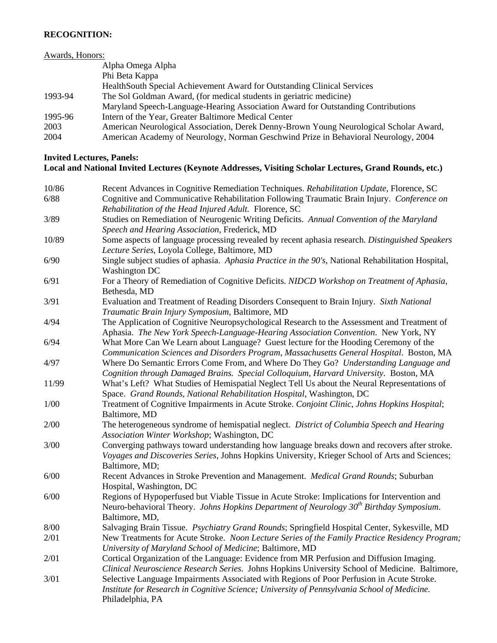## **RECOGNITION:**

# Awards, Honors:

|         | Alpha Omega Alpha                                                                      |
|---------|----------------------------------------------------------------------------------------|
|         | Phi Beta Kappa                                                                         |
|         | HealthSouth Special Achievement Award for Outstanding Clinical Services                |
| 1993-94 | The Sol Goldman Award, (for medical students in geriatric medicine)                    |
|         | Maryland Speech-Language-Hearing Association Award for Outstanding Contributions       |
| 1995-96 | Intern of the Year, Greater Baltimore Medical Center                                   |
| 2003    | American Neurological Association, Derek Denny-Brown Young Neurological Scholar Award, |
| 2004    | American Academy of Neurology, Norman Geschwind Prize in Behavioral Neurology, 2004    |

## **Invited Lectures, Panels:**

# **Local and National Invited Lectures (Keynote Addresses, Visiting Scholar Lectures, Grand Rounds, etc.)**

| 10/86 | Recent Advances in Cognitive Remediation Techniques. Rehabilitation Update, Florence, SC                                                             |
|-------|------------------------------------------------------------------------------------------------------------------------------------------------------|
| 6/88  | Cognitive and Communicative Rehabilitation Following Traumatic Brain Injury. Conference on                                                           |
|       | Rehabilitation of the Head Injured Adult. Florence, SC                                                                                               |
| 3/89  | Studies on Remediation of Neurogenic Writing Deficits. Annual Convention of the Maryland                                                             |
|       | Speech and Hearing Association, Frederick, MD                                                                                                        |
| 10/89 | Some aspects of language processing revealed by recent aphasia research. Distinguished Speakers                                                      |
|       | Lecture Series, Loyola College, Baltimore, MD                                                                                                        |
| 6/90  | Single subject studies of aphasia. Aphasia Practice in the 90's, National Rehabilitation Hospital,                                                   |
|       | <b>Washington DC</b>                                                                                                                                 |
| 6/91  | For a Theory of Remediation of Cognitive Deficits. NIDCD Workshop on Treatment of Aphasia,                                                           |
|       | Bethesda, MD                                                                                                                                         |
| 3/91  | Evaluation and Treatment of Reading Disorders Consequent to Brain Injury. Sixth National                                                             |
|       | Traumatic Brain Injury Symposium, Baltimore, MD                                                                                                      |
| 4/94  | The Application of Cognitive Neuropsychological Research to the Assessment and Treatment of                                                          |
|       | Aphasia. The New York Speech-Language-Hearing Association Convention. New York, NY                                                                   |
| 6/94  | What More Can We Learn about Language? Guest lecture for the Hooding Ceremony of the                                                                 |
|       | Communication Sciences and Disorders Program, Massachusetts General Hospital. Boston, MA                                                             |
| 4/97  | Where Do Semantic Errors Come From, and Where Do They Go? Understanding Language and                                                                 |
|       | Cognition through Damaged Brains. Special Colloquium, Harvard University. Boston, MA                                                                 |
| 11/99 | What's Left? What Studies of Hemispatial Neglect Tell Us about the Neural Representations of                                                         |
|       | Space. Grand Rounds, National Rehabilitation Hospital, Washington, DC                                                                                |
| 1/00  | Treatment of Cognitive Impairments in Acute Stroke. Conjoint Clinic, Johns Hopkins Hospital;                                                         |
|       | Baltimore, MD                                                                                                                                        |
| 2/00  | The heterogeneous syndrome of hemispatial neglect. District of Columbia Speech and Hearing                                                           |
|       | Association Winter Workshop; Washington, DC                                                                                                          |
| 3/00  | Converging pathways toward understanding how language breaks down and recovers after stroke.                                                         |
|       | Voyages and Discoveries Series, Johns Hopkins University, Krieger School of Arts and Sciences;                                                       |
|       | Baltimore, MD;                                                                                                                                       |
| 6/00  | Recent Advances in Stroke Prevention and Management. Medical Grand Rounds; Suburban                                                                  |
|       | Hospital, Washington, DC                                                                                                                             |
| 6/00  | Regions of Hypoperfused but Viable Tissue in Acute Stroke: Implications for Intervention and                                                         |
|       | Neuro-behavioral Theory. Johns Hopkins Department of Neurology 30 <sup>th</sup> Birthday Symposium.                                                  |
|       | Baltimore, MD,                                                                                                                                       |
| 8/00  | Salvaging Brain Tissue. Psychiatry Grand Rounds; Springfield Hospital Center, Sykesville, MD                                                         |
| 2/01  | New Treatments for Acute Stroke. Noon Lecture Series of the Family Practice Residency Program;                                                       |
| 2/01  | University of Maryland School of Medicine; Baltimore, MD<br>Cortical Organization of the Language: Evidence from MR Perfusion and Diffusion Imaging. |
|       | Clinical Neuroscience Research Series. Johns Hopkins University School of Medicine. Baltimore,                                                       |
| 3/01  | Selective Language Impairments Associated with Regions of Poor Perfusion in Acute Stroke.                                                            |
|       | Institute for Research in Cognitive Science; University of Pennsylvania School of Medicine.                                                          |
|       |                                                                                                                                                      |
|       | Philadelphia, PA                                                                                                                                     |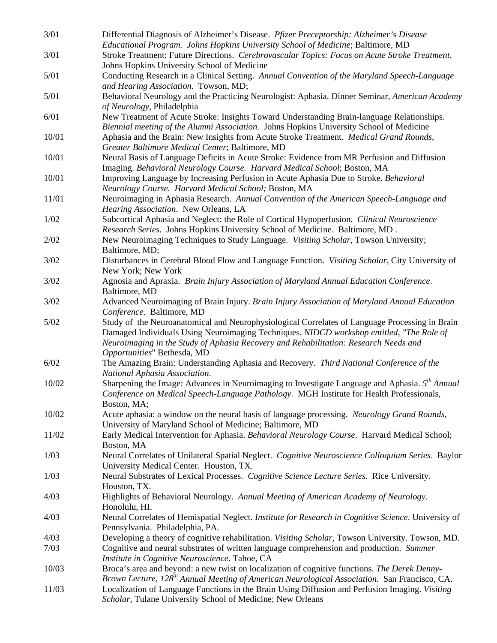| 3/01   | Differential Diagnosis of Alzheimer's Disease. Pfizer Preceptorship: Alzheimer's Disease<br>Educational Program. Johns Hopkins University School of Medicine; Baltimore, MD                                                                                                        |
|--------|------------------------------------------------------------------------------------------------------------------------------------------------------------------------------------------------------------------------------------------------------------------------------------|
|        |                                                                                                                                                                                                                                                                                    |
| 3/01   | Stroke Treatment: Future Directions. Cerebrovascular Topics: Focus on Acute Stroke Treatment.<br>Johns Hopkins University School of Medicine                                                                                                                                       |
| 5/01   | Conducting Research in a Clinical Setting. Annual Convention of the Maryland Speech-Language                                                                                                                                                                                       |
|        | and Hearing Association. Towson, MD;                                                                                                                                                                                                                                               |
| 5/01   | Behavioral Neurology and the Practicing Neurologist: Aphasia. Dinner Seminar, American Academy                                                                                                                                                                                     |
|        | of Neurology, Philadelphia                                                                                                                                                                                                                                                         |
| 6/01   | New Treatment of Acute Stroke: Insights Toward Understanding Brain-language Relationships.<br>Biennial meeting of the Alumni Association. Johns Hopkins University School of Medicine                                                                                              |
| 10/01  | Aphasia and the Brain: New Insights from Acute Stroke Treatment. Medical Grand Rounds,<br>Greater Baltimore Medical Center; Baltimore, MD                                                                                                                                          |
| 10/01  | Neural Basis of Language Deficits in Acute Stroke: Evidence from MR Perfusion and Diffusion                                                                                                                                                                                        |
|        | Imaging. Behavioral Neurology Course. Harvard Medical School; Boston, MA                                                                                                                                                                                                           |
| 10/01  | Improving Language by Increasing Perfusion in Acute Aphasia Due to Stroke. Behavioral<br>Neurology Course. Harvard Medical School; Boston, MA                                                                                                                                      |
| 11/01  | Neuroimaging in Aphasia Research. Annual Convention of the American Speech-Language and                                                                                                                                                                                            |
|        | Hearing Association. New Orleans, LA                                                                                                                                                                                                                                               |
| 1/02   | Subcortical Aphasia and Neglect: the Role of Cortical Hypoperfusion. Clinical Neuroscience                                                                                                                                                                                         |
|        | Research Series. Johns Hopkins University School of Medicine. Baltimore, MD.                                                                                                                                                                                                       |
| 2/02   | New Neuroimaging Techniques to Study Language. Visiting Scholar, Towson University;<br>Baltimore, MD;                                                                                                                                                                              |
| 3/02   | Disturbances in Cerebral Blood Flow and Language Function. Visiting Scholar, City University of                                                                                                                                                                                    |
| 3/02   | New York; New York<br>Agnosia and Apraxia. Brain Injury Association of Maryland Annual Education Conference.                                                                                                                                                                       |
|        | Baltimore, MD                                                                                                                                                                                                                                                                      |
| 3/02   | Advanced Neuroimaging of Brain Injury. Brain Injury Association of Maryland Annual Education                                                                                                                                                                                       |
|        | Conference. Baltimore, MD                                                                                                                                                                                                                                                          |
| $5/02$ | Study of the Neuroanatomical and Neurophysiological Correlates of Language Processing in Brain<br>Damaged Individuals Using Neuroimaging Techniques. NIDCD workshop entitled, "The Role of<br>Neuroimaging in the Study of Aphasia Recovery and Rehabilitation: Research Needs and |
| $6/02$ | Opportunities" Bethesda, MD<br>The Amazing Brain: Understanding Aphasia and Recovery. Third National Conference of the                                                                                                                                                             |
|        | National Aphasia Association.                                                                                                                                                                                                                                                      |
| 10/02  | Sharpening the Image: Advances in Neuroimaging to Investigate Language and Aphasia. $5th$ Annual<br>Conference on Medical Speech-Language Pathology. MGH Institute for Health Professionals,<br>Boston, MA;                                                                        |
| 10/02  | Acute aphasia: a window on the neural basis of language processing. Neurology Grand Rounds,                                                                                                                                                                                        |
| 11/02  | University of Maryland School of Medicine; Baltimore, MD<br>Early Medical Intervention for Aphasia. Behavioral Neurology Course. Harvard Medical School;                                                                                                                           |
|        | Boston, MA                                                                                                                                                                                                                                                                         |
| 1/03   | Neural Correlates of Unilateral Spatial Neglect. Cognitive Neuroscience Colloquium Series. Baylor<br>University Medical Center. Houston, TX.                                                                                                                                       |
| 1/03   | Neural Substrates of Lexical Processes. Cognitive Science Lecture Series. Rice University.                                                                                                                                                                                         |
|        | Houston, TX.                                                                                                                                                                                                                                                                       |
| 4/03   | Highlights of Behavioral Neurology. Annual Meeting of American Academy of Neurology.<br>Honolulu, HI.                                                                                                                                                                              |
| 4/03   | Neural Correlates of Hemispatial Neglect. Institute for Research in Cognitive Science. University of                                                                                                                                                                               |
|        | Pennsylvania. Philadelphia, PA.                                                                                                                                                                                                                                                    |
| 4/03   | Developing a theory of cognitive rehabilitation. Visiting Scholar, Towson University. Towson, MD.                                                                                                                                                                                  |
| 7/03   | Cognitive and neural substrates of written language comprehension and production. Summer<br>Institute in Cognitive Neuroscience. Tahoe, CA                                                                                                                                         |
| 10/03  | Broca's area and beyond: a new twist on localization of cognitive functions. The Derek Denny-                                                                                                                                                                                      |
|        | Brown Lecture, 128 <sup>th</sup> Annual Meeting of American Neurological Association. San Francisco, CA.                                                                                                                                                                           |
| 11/03  | Localization of Language Functions in the Brain Using Diffusion and Perfusion Imaging. Visiting<br>Scholar, Tulane University School of Medicine; New Orleans                                                                                                                      |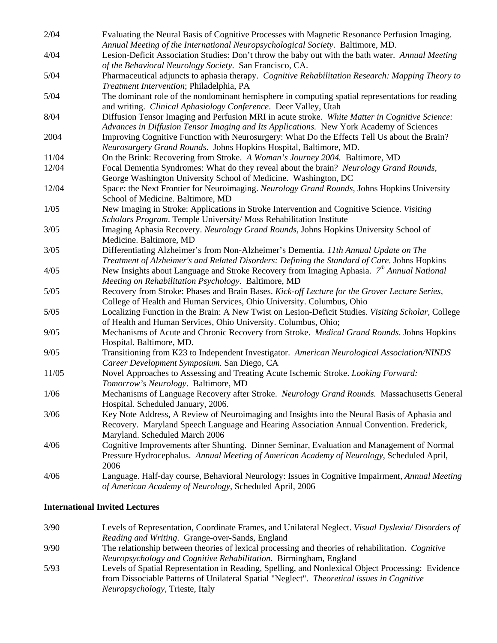| 2/04   | Evaluating the Neural Basis of Cognitive Processes with Magnetic Resonance Perfusion Imaging.                                                               |
|--------|-------------------------------------------------------------------------------------------------------------------------------------------------------------|
|        | Annual Meeting of the International Neuropsychological Society. Baltimore, MD.                                                                              |
| 4/04   | Lesion-Deficit Association Studies: Don't throw the baby out with the bath water. Annual Meeting<br>of the Behavioral Neurology Society. San Francisco, CA. |
| 5/04   | Pharmaceutical adjuncts to aphasia therapy. Cognitive Rehabilitation Research: Mapping Theory to                                                            |
|        | Treatment Intervention; Philadelphia, PA                                                                                                                    |
| 5/04   | The dominant role of the nondominant hemisphere in computing spatial representations for reading                                                            |
|        | and writing. Clinical Aphasiology Conference. Deer Valley, Utah                                                                                             |
| 8/04   | Diffusion Tensor Imaging and Perfusion MRI in acute stroke. White Matter in Cognitive Science:                                                              |
|        | Advances in Diffusion Tensor Imaging and Its Applications. New York Academy of Sciences                                                                     |
| 2004   | Improving Cognitive Function with Neurosurgery: What Do the Effects Tell Us about the Brain?                                                                |
|        | Neurosurgery Grand Rounds. Johns Hopkins Hospital, Baltimore, MD.                                                                                           |
| 11/04  | On the Brink: Recovering from Stroke. A Woman's Journey 2004. Baltimore, MD                                                                                 |
| 12/04  | Focal Dementia Syndromes: What do they reveal about the brain? Neurology Grand Rounds,                                                                      |
|        | George Washington University School of Medicine. Washington, DC                                                                                             |
| 12/04  | Space: the Next Frontier for Neuroimaging. Neurology Grand Rounds, Johns Hopkins University                                                                 |
|        | School of Medicine. Baltimore, MD                                                                                                                           |
| 1/05   | New Imaging in Stroke: Applications in Stroke Intervention and Cognitive Science. Visiting                                                                  |
|        | Scholars Program. Temple University/ Moss Rehabilitation Institute                                                                                          |
| 3/05   | Imaging Aphasia Recovery. Neurology Grand Rounds, Johns Hopkins University School of                                                                        |
|        | Medicine. Baltimore, MD                                                                                                                                     |
| 3/05   | Differentiating Alzheimer's from Non-Alzheimer's Dementia. 11th Annual Update on The                                                                        |
|        | Treatment of Alzheimer's and Related Disorders: Defining the Standard of Care. Johns Hopkins                                                                |
| 4/05   | New Insights about Language and Stroke Recovery from Imaging Aphasia. 7 <sup>th</sup> Annual National                                                       |
|        | Meeting on Rehabilitation Psychology. Baltimore, MD                                                                                                         |
| $5/05$ | Recovery from Stroke: Phases and Brain Bases. Kick-off Lecture for the Grover Lecture Series,                                                               |
|        | College of Health and Human Services, Ohio University. Columbus, Ohio                                                                                       |
| $5/05$ | Localizing Function in the Brain: A New Twist on Lesion-Deficit Studies. Visiting Scholar, College                                                          |
|        | of Health and Human Services, Ohio University. Columbus, Ohio;                                                                                              |
| 9/05   | Mechanisms of Acute and Chronic Recovery from Stroke. Medical Grand Rounds. Johns Hopkins                                                                   |
|        | Hospital. Baltimore, MD.                                                                                                                                    |
| 9/05   | Transitioning from K23 to Independent Investigator. American Neurological Association/NINDS                                                                 |
|        | Career Development Symposium. San Diego, CA                                                                                                                 |
| 11/05  | Novel Approaches to Assessing and Treating Acute Ischemic Stroke. Looking Forward:                                                                          |
|        | Tomorrow's Neurology. Baltimore, MD                                                                                                                         |
| 1/06   | Mechanisms of Language Recovery after Stroke. Neurology Grand Rounds. Massachusetts General                                                                 |
|        | Hospital. Scheduled January, 2006.                                                                                                                          |
| 3/06   | Key Note Address, A Review of Neuroimaging and Insights into the Neural Basis of Aphasia and                                                                |
|        | Recovery. Maryland Speech Language and Hearing Association Annual Convention. Frederick,                                                                    |
|        | Maryland. Scheduled March 2006                                                                                                                              |
| 4/06   | Cognitive Improvements after Shunting. Dinner Seminar, Evaluation and Management of Normal                                                                  |
|        | Pressure Hydrocephalus. Annual Meeting of American Academy of Neurology, Scheduled April,                                                                   |
|        | 2006                                                                                                                                                        |
| 4/06   | Language. Half-day course, Behavioral Neurology: Issues in Cognitive Impairment, Annual Meeting                                                             |
|        | of American Academy of Neurology, Scheduled April, 2006                                                                                                     |

## **International Invited Lectures**

- 3/90 Levels of Representation, Coordinate Frames, and Unilateral Neglect. *Visual Dyslexia/ Disorders of Reading and Writing*. Grange-over-Sands, England 9/90 The relationship between theories of lexical processing and theories of rehabilitation. *Cognitive Neuropsychology and Cognitive Rehabilitation*. Birmingham, England 5/93 Levels of Spatial Representation in Reading, Spelling, and Nonlexical Object Processing: Evidence
	- from Dissociable Patterns of Unilateral Spatial "Neglect". *Theoretical issues in Cognitive Neuropsychology,* Trieste, Italy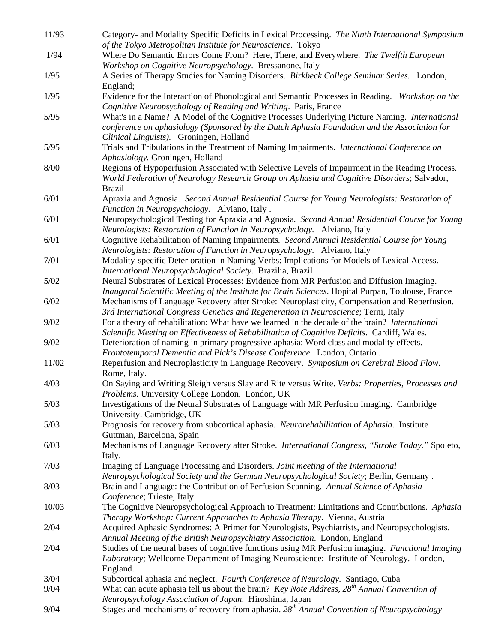| 11/93  | Category- and Modality Specific Deficits in Lexical Processing. The Ninth International Symposium                                      |
|--------|----------------------------------------------------------------------------------------------------------------------------------------|
|        | of the Tokyo Metropolitan Institute for Neuroscience. Tokyo                                                                            |
| 1/94   | Where Do Semantic Errors Come From? Here, There, and Everywhere. The Twelfth European                                                  |
|        | Workshop on Cognitive Neuropsychology. Bressanone, Italy                                                                               |
| 1/95   | A Series of Therapy Studies for Naming Disorders. Birkbeck College Seminar Series. London,                                             |
|        | England;                                                                                                                               |
| 1/95   | Evidence for the Interaction of Phonological and Semantic Processes in Reading. Workshop on the                                        |
|        | Cognitive Neuropsychology of Reading and Writing. Paris, France                                                                        |
| $5/95$ | What's in a Name? A Model of the Cognitive Processes Underlying Picture Naming. International                                          |
|        | conference on aphasiology (Sponsored by the Dutch Aphasia Foundation and the Association for                                           |
| $5/95$ | Clinical Linguists). Groningen, Holland<br>Trials and Tribulations in the Treatment of Naming Impairments. International Conference on |
|        | Aphasiology. Groningen, Holland                                                                                                        |
| 8/00   | Regions of Hypoperfusion Associated with Selective Levels of Impairment in the Reading Process.                                        |
|        | World Federation of Neurology Research Group on Aphasia and Cognitive Disorders; Salvador,                                             |
|        | <b>Brazil</b>                                                                                                                          |
| 6/01   | Apraxia and Agnosia. Second Annual Residential Course for Young Neurologists: Restoration of                                           |
|        | Function in Neuropsychology. Alviano, Italy.                                                                                           |
| 6/01   | Neuropsychological Testing for Apraxia and Agnosia. Second Annual Residential Course for Young                                         |
|        | Neurologists: Restoration of Function in Neuropsychology. Alviano, Italy                                                               |
| 6/01   | Cognitive Rehabilitation of Naming Impairments. Second Annual Residential Course for Young                                             |
|        | Neurologists: Restoration of Function in Neuropsychology. Alviano, Italy                                                               |
| 7/01   | Modality-specific Deterioration in Naming Verbs: Implications for Models of Lexical Access.                                            |
|        | International Neuropsychological Society. Brazilia, Brazil                                                                             |
| $5/02$ | Neural Substrates of Lexical Processes: Evidence from MR Perfusion and Diffusion Imaging.                                              |
|        | Inaugural Scientific Meeting of the Institute for Brain Sciences. Hopital Purpan, Toulouse, France                                     |
| 6/02   | Mechanisms of Language Recovery after Stroke: Neuroplasticity, Compensation and Reperfusion.                                           |
|        | 3rd International Congress Genetics and Regeneration in Neuroscience; Terni, Italy                                                     |
| 9/02   | For a theory of rehabilitation: What have we learned in the decade of the brain? International                                         |
|        | Scientific Meeting on Effectiveness of Rehabilitation of Cognitive Deficits. Cardiff, Wales.                                           |
| 9/02   | Deterioration of naming in primary progressive aphasia: Word class and modality effects.                                               |
|        | Frontotemporal Dementia and Pick's Disease Conference. London, Ontario.                                                                |
| 11/02  | Reperfusion and Neuroplasticity in Language Recovery. Symposium on Cerebral Blood Flow.<br>Rome, Italy.                                |
| 4/03   | On Saying and Writing Sleigh versus Slay and Rite versus Write. Verbs: Properties, Processes and                                       |
|        | Problems. University College London. London, UK                                                                                        |
| $5/03$ | Investigations of the Neural Substrates of Language with MR Perfusion Imaging. Cambridge                                               |
|        | University. Cambridge, UK                                                                                                              |
| 5/03   | Prognosis for recovery from subcortical aphasia. Neurorehabilitation of Aphasia. Institute                                             |
|        | Guttman, Barcelona, Spain                                                                                                              |
| 6/03   | Mechanisms of Language Recovery after Stroke. International Congress, "Stroke Today." Spoleto,                                         |
|        | Italy.                                                                                                                                 |
| 7/03   | Imaging of Language Processing and Disorders. Joint meeting of the International                                                       |
|        | Neuropsychological Society and the German Neuropsychological Society; Berlin, Germany.                                                 |
| 8/03   | Brain and Language: the Contribution of Perfusion Scanning. Annual Science of Aphasia                                                  |
|        | Conference; Trieste, Italy                                                                                                             |
| 10/03  | The Cognitive Neuropsychological Approach to Treatment: Limitations and Contributions. Aphasia                                         |
|        | Therapy Workshop: Current Approaches to Aphasia Therapy. Vienna, Austria                                                               |
| 2/04   | Acquired Aphasic Syndromes: A Primer for Neurologists, Psychiatrists, and Neuropsychologists.                                          |
|        | Annual Meeting of the British Neuropsychiatry Association. London, England                                                             |
| 2/04   | Studies of the neural bases of cognitive functions using MR Perfusion imaging. Functional Imaging                                      |
|        | Laboratory; Wellcome Department of Imaging Neuroscience; Institute of Neurology. London,                                               |
| 3/04   | England.<br>Subcortical aphasia and neglect. Fourth Conference of Neurology. Santiago, Cuba                                            |
| 9/04   | What can acute aphasia tell us about the brain? Key Note Address, 28 <sup>th</sup> Annual Convention of                                |
|        | Neuropsychology Association of Japan. Hiroshima, Japan                                                                                 |
| 9/04   | Stages and mechanisms of recovery from aphasia. $28th$ Annual Convention of Neuropsychology                                            |
|        |                                                                                                                                        |